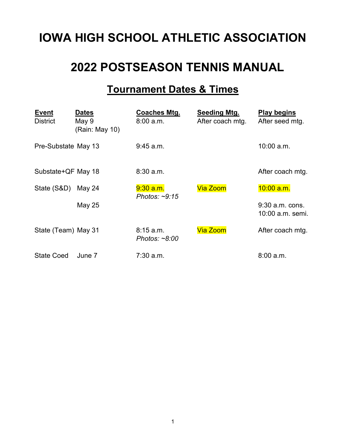# **IOWA HIGH SCHOOL ATHLETIC ASSOCIATION**

## **2022 POSTSEASON TENNIS MANUAL**

## **Tournament Dates & Times**

| <b>Event</b><br><b>District</b> | <b>Dates</b><br>May 9<br>(Rain: May 10) | <b>Coaches Mtg.</b><br>8:00 a.m.   | Seeding Mtg.<br>After coach mtg. | <b>Play begins</b><br>After seed mtg. |
|---------------------------------|-----------------------------------------|------------------------------------|----------------------------------|---------------------------------------|
| Pre-Substate May 13             |                                         | $9:45$ a.m.                        |                                  | $10:00$ a.m.                          |
| Substate+QF May 18              |                                         | 8:30 a.m.                          |                                  | After coach mtg.                      |
| State (S&D)                     | May 24                                  | $9:30$ a.m.<br>Photos: $\sim$ 9:15 | <b>Via Zoom</b>                  | $10:00$ a.m.                          |
|                                 | <b>May 25</b>                           |                                    |                                  | $9:30$ a.m. cons.<br>10:00 a.m. semi. |
| State (Team) May 31             |                                         | 8:15 a.m.<br>Photos: $~8.00$       | <b>Via Zoom</b>                  | After coach mtg.                      |
| <b>State Coed</b>               | June 7                                  | $7:30$ a.m.                        |                                  | 8:00 a.m.                             |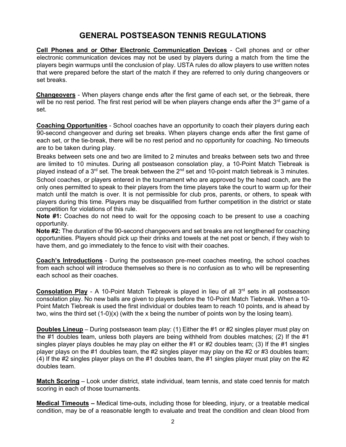## **GENERAL POSTSEASON TENNIS REGULATIONS**

**Cell Phones and or Other Electronic Communication Devices** - Cell phones and or other electronic communication devices may not be used by players during a match from the time the players begin warmups until the conclusion of play. USTA rules do allow players to use written notes that were prepared before the start of the match if they are referred to only during changeovers or set breaks.

**Changeovers** - When players change ends after the first game of each set, or the tiebreak, there will be no rest period. The first rest period will be when players change ends after the  $3<sup>rd</sup>$  game of a set.

**Coaching Opportunities** - School coaches have an opportunity to coach their players during each 90-second changeover and during set breaks. When players change ends after the first game of each set, or the tie-break, there will be no rest period and no opportunity for coaching. No timeouts are to be taken during play.

Breaks between sets one and two are limited to 2 minutes and breaks between sets two and three are limited to 10 minutes. During all postseason consolation play, a 10-Point Match Tiebreak is played instead of a 3<sup>rd</sup> set. The break between the 2<sup>nd</sup> set and 10-point match tiebreak is 3 minutes.

School coaches, or players entered in the tournament who are approved by the head coach, are the only ones permitted to speak to their players from the time players take the court to warm up for their match until the match is over. It is not permissible for club pros, parents, or others, to speak with players during this time. Players may be disqualified from further competition in the district or state competition for violations of this rule.

**Note #1:** Coaches do not need to wait for the opposing coach to be present to use a coaching opportunity.

**Note #2:** The duration of the 90-second changeovers and set breaks are not lengthened for coaching opportunities. Players should pick up their drinks and towels at the net post or bench, if they wish to have them, and go immediately to the fence to visit with their coaches.

**Coach's Introductions** - During the postseason pre-meet coaches meeting, the school coaches from each school will introduce themselves so there is no confusion as to who will be representing each school as their coaches.

**Consolation Play** - A 10-Point Match Tiebreak is played in lieu of all 3<sup>rd</sup> sets in all postseason consolation play. No new balls are given to players before the 10-Point Match Tiebreak. When a 10- Point Match Tiebreak is used the first individual or doubles team to reach 10 points, and is ahead by two, wins the third set (1-0)(x) (with the x being the number of points won by the losing team).

**Doubles Lineup** – During postseason team play: (1) Either the #1 or #2 singles player must play on the #1 doubles team, unless both players are being withheld from doubles matches; (2) If the #1 singles player plays doubles he may play on either the #1 or #2 doubles team; (3) If the #1 singles player plays on the #1 doubles team, the #2 singles player may play on the #2 or #3 doubles team; (4) If the #2 singles player plays on the #1 doubles team, the #1 singles player must play on the #2 doubles team.

**Match Scoring** – Look under district, state individual, team tennis, and state coed tennis for match scoring in each of those tournaments.

**Medical Timeouts –** Medical time-outs, including those for bleeding, injury, or a treatable medical condition, may be of a reasonable length to evaluate and treat the condition and clean blood from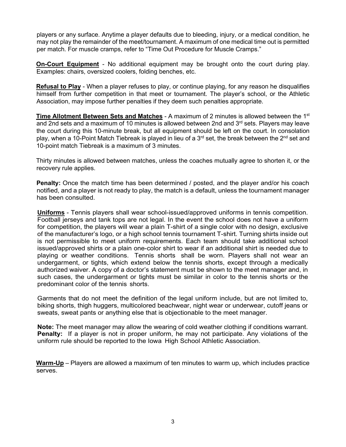players or any surface. Anytime a player defaults due to bleeding, injury, or a medical condition, he may not play the remainder of the meet/tournament. A maximum of one medical time out is permitted per match. For muscle cramps, refer to "Time Out Procedure for Muscle Cramps."

**On-Court Equipment** - No additional equipment may be brought onto the court during play. Examples: chairs, oversized coolers, folding benches, etc.

**Refusal to Play** - When a player refuses to play, or continue playing, for any reason he disqualifies himself from further competition in that meet or tournament. The player's school, or the Athletic Association, may impose further penalties if they deem such penalties appropriate.

**Time Allotment Between Sets and Matches** - A maximum of 2 minutes is allowed between the 1st and 2nd sets and a maximum of 10 minutes is allowed between 2nd and  $3<sup>rd</sup>$  sets. Players may leave the court during this 10-minute break, but all equipment should be left on the court. In consolation play, when a 10-Point Match Tiebreak is played in lieu of a 3<sup>rd</sup> set, the break between the 2<sup>nd</sup> set and 10-point match Tiebreak is a maximum of 3 minutes.

Thirty minutes is allowed between matches, unless the coaches mutually agree to shorten it, or the recovery rule applies.

**Penalty:** Once the match time has been determined / posted, and the player and/or his coach notified, and a player is not ready to play, the match is a default, unless the tournament manager has been consulted.

**Uniforms** - Tennis players shall wear school-issued/approved uniforms in tennis competition. Football jerseys and tank tops are not legal. In the event the school does not have a uniform for competition, the players will wear a plain T-shirt of a single color with no design, exclusive of the manufacturer's logo, or a high school tennis tournament T-shirt. Turning shirts inside out is not permissible to meet uniform requirements. Each team should take additional school issued/approved shirts or a plain one-color shirt to wear if an additional shirt is needed due to playing or weather conditions. Tennis shorts shall be worn. Players shall not wear an undergarment, or tights, which extend below the tennis shorts, except through a medically authorized waiver. A copy of a doctor's statement must be shown to the meet manager and, in such cases, the undergarment or tights must be similar in color to the tennis shorts or the predominant color of the tennis shorts.

Garments that do not meet the definition of the legal uniform include, but are not limited to, biking shorts, thigh huggers, multicolored beachwear, night wear or underwear, cutoff jeans or sweats, sweat pants or anything else that is objectionable to the meet manager.

**Note:** The meet manager may allow the wearing of cold weather clothing if conditions warrant. **Penalty:**If a player is not in proper uniform, he may not participate. Any violations of the uniform rule should be reported to the Iowa High School Athletic Association.

**Warm-Up** – Players are allowed a maximum of ten minutes to warm up, which includes practice serves.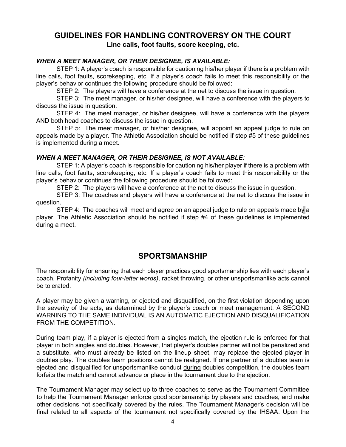### **GUIDELINES FOR HANDLING CONTROVERSY ON THE COURT Line calls, foot faults, score keeping, etc.**

#### *WHEN A MEET MANAGER, OR THEIR DESIGNEE, IS AVAILABLE:*

STEP 1: A player's coach is responsible for cautioning his/her player if there is a problem with line calls, foot faults, scorekeeping, etc. If a player's coach fails to meet this responsibility or the player's behavior continues the following procedure should be followed:

STEP 2: The players will have a conference at the net to discuss the issue in question.

STEP 3: The meet manager, or his/her designee, will have a conference with the players to discuss the issue in question.

STEP 4: The meet manager, or his/her designee, will have a conference with the players AND both head coaches to discuss the issue in question.

STEP 5: The meet manager, or his/her designee, will appoint an appeal judge to rule on appeals made by a player. The Athletic Association should be notified if step #5 of these guidelines is implemented during a meet.

#### *WHEN A MEET MANAGER, OR THEIR DESIGNEE, IS NOT AVAILABLE:*

STEP 1: A player's coach is responsible for cautioning his/her player if there is a problem with line calls, foot faults, scorekeeping, etc. If a player's coach fails to meet this responsibility or the player's behavior continues the following procedure should be followed:

STEP 2: The players will have a conference at the net to discuss the issue in question.

STEP 3: The coaches and players will have a conference at the net to discuss the issue in question.

STEP 4: The coaches will meet and agree on an appeal judge to rule on appeals made by a player. The Athletic Association should be notified if step #4 of these guidelines is implemented during a meet.

### **SPORTSMANSHIP**

The responsibility for ensuring that each player practices good sportsmanship lies with each player's coach. Profanity *(including four-letter words)*, racket throwing, or other unsportsmanlike acts cannot be tolerated.

A player may be given a warning, or ejected and disqualified, on the first violation depending upon the severity of the acts, as determined by the player's coach or meet management. A SECOND WARNING TO THE SAME INDIVIDUAL IS AN AUTOMATIC EJECTION AND DISQUALIFICATION FROM THE COMPETITION.

During team play, if a player is ejected from a singles match, the ejection rule is enforced for that player in both singles and doubles. However, that player's doubles partner will not be penalized and a substitute, who must already be listed on the lineup sheet, may replace the ejected player in doubles play. The doubles team positions cannot be realigned. If one partner of a doubles team is ejected and disqualified for unsportsmanlike conduct during doubles competition, the doubles team forfeits the match and cannot advance or place in the tournament due to the ejection.

The Tournament Manager may select up to three coaches to serve as the Tournament Committee to help the Tournament Manager enforce good sportsmanship by players and coaches, and make other decisions not specifically covered by the rules. The Tournament Manager's decision will be final related to all aspects of the tournament not specifically covered by the IHSAA. Upon the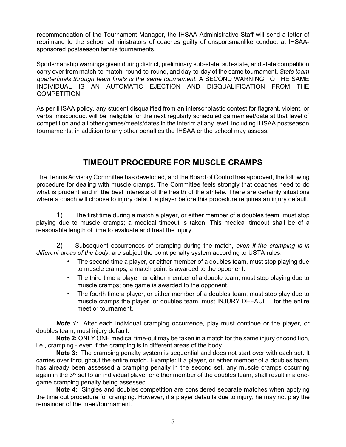recommendation of the Tournament Manager, the IHSAA Administrative Staff will send a letter of reprimand to the school administrators of coaches guilty of unsportsmanlike conduct at IHSAAsponsored postseason tennis tournaments.

Sportsmanship warnings given during district, preliminary sub-state, sub-state, and state competition carry over from match-to-match, round-to-round, and day-to-day of the same tournament. *State team quarterfinals through team finals is the same tournament.* A SECOND WARNING TO THE SAME INDIVIDUAL IS AN AUTOMATIC EJECTION AND DISQUALIFICATION FROM THE COMPETITION.

As per IHSAA policy, any student disqualified from an interscholastic contest for flagrant, violent, or verbal misconduct will be ineligible for the next regularly scheduled game/meet/date at that level of competition and all other games/meets/dates in the interim at any level, including IHSAA postseason tournaments, in addition to any other penalties the IHSAA or the school may assess.

## **TIMEOUT PROCEDURE FOR MUSCLE CRAMPS**

The Tennis Advisory Committee has developed, and the Board of Control has approved, the following procedure for dealing with muscle cramps. The Committee feels strongly that coaches need to do what is prudent and in the best interests of the health of the athlete. There are certainly situations where a coach will choose to injury default a player before this procedure requires an injury default.

1) The first time during a match a player, or either member of a doubles team, must stop playing due to muscle cramps; a medical timeout is taken. This medical timeout shall be of a reasonable length of time to evaluate and treat the injury.

2) Subsequent occurrences of cramping during the match, *even if the cramping is in different areas of the body*, are subject the point penalty system according to USTA rules.

- The second time a player, or either member of a doubles team, must stop playing due to muscle cramps; a match point is awarded to the opponent.
- The third time a player, or either member of a double team, must stop playing due to muscle cramps; one game is awarded to the opponent.
- The fourth time a player, or either member of a doubles team, must stop play due to muscle cramps the player, or doubles team, must INJURY DEFAULT, for the entire meet or tournament.

**Note 1:** After each individual cramping occurrence, play must continue or the player, or doubles team, must injury default.

**Note 2:** ONLY ONE medical time-out may be taken in a match for the same injury or condition, i.e., cramping - even if the cramping is in different areas of the body.

**Note 3:** The cramping penalty system is sequential and does not start over with each set. It carries over throughout the entire match. Example: If a player, or either member of a doubles team, has already been assessed a cramping penalty in the second set, any muscle cramps occurring again in the  $3<sup>rd</sup>$  set to an individual player or either member of the doubles team, shall result in a onegame cramping penalty being assessed.

**Note 4:** Singles and doubles competition are considered separate matches when applying the time out procedure for cramping. However, if a player defaults due to injury, he may not play the remainder of the meet/tournament.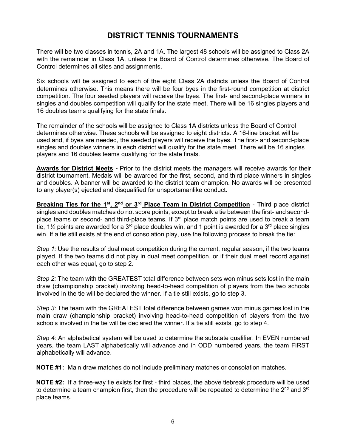## **DISTRICT TENNIS TOURNAMENTS**

There will be two classes in tennis, 2A and 1A. The largest 48 schools will be assigned to Class 2A with the remainder in Class 1A, unless the Board of Control determines otherwise. The Board of Control determines all sites and assignments.

Six schools will be assigned to each of the eight Class 2A districts unless the Board of Control determines otherwise. This means there will be four byes in the first-round competition at district competition. The four seeded players will receive the byes. The first- and second-place winners in singles and doubles competition will qualify for the state meet. There will be 16 singles players and 16 doubles teams qualifying for the state finals.

The remainder of the schools will be assigned to Class 1A districts unless the Board of Control determines otherwise. These schools will be assigned to eight districts. A 16-line bracket will be used and, if byes are needed, the seeded players will receive the byes. The first- and second-place singles and doubles winners in each district will qualify for the state meet. There will be 16 singles players and 16 doubles teams qualifying for the state finals.

**Awards for District Meets -** Prior to the district meets the managers will receive awards for their district tournament. Medals will be awarded for the first, second, and third place winners in singles and doubles. A banner will be awarded to the district team champion. No awards will be presented to any player(s) ejected and disqualified for unsportsmanlike conduct.

**Breaking Ties for the 1st, 2nd or 3rd Place Team in District Competition** - Third place district singles and doubles matches do not score points, except to break a tie between the first- and secondplace teams or second- and third-place teams. If 3<sup>rd</sup> place match points are used to break a team tie, 1½ points are awarded for a 3<sup>rd</sup> place doubles win, and 1 point is awarded for a 3<sup>rd</sup> place singles win. If a tie still exists at the end of consolation play, use the following process to break the tie:

*Step 1:* Use the results of dual meet competition during the current, regular season, if the two teams played. If the two teams did not play in dual meet competition, or if their dual meet record against each other was equal, go to step 2.

*Step 2:* The team with the GREATEST total difference between sets won minus sets lost in the main draw (championship bracket) involving head-to-head competition of players from the two schools involved in the tie will be declared the winner. If a tie still exists, go to step 3.

*Step 3:* The team with the GREATEST total difference between games won minus games lost in the main draw (championship bracket) involving head-to-head competition of players from the two schools involved in the tie will be declared the winner. If a tie still exists, go to step 4.

*Step 4:* An alphabetical system will be used to determine the substate qualifier. In EVEN numbered years, the team LAST alphabetically will advance and in ODD numbered years, the team FIRST alphabetically will advance.

**NOTE #1:** Main draw matches do not include preliminary matches or consolation matches.

**NOTE #2:** If a three-way tie exists for first - third places, the above tiebreak procedure will be used to determine a team champion first, then the procedure will be repeated to determine the  $2^{nd}$  and  $3^{rd}$ place teams.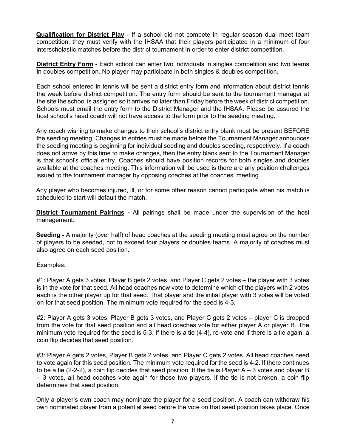**Qualification for District Play** - If a school did not compete in regular season dual meet team competition, they must verify with the IHSAA that their players participated in a minimum of four interscholastic matches before the district tournament in order to enter district competition.

**District Entry Form** - Each school can enter two individuals in singles competition and two teams in doubles competition. No player may participate in both singles & doubles competition.

Each school entered in tennis will be sent a district entry form and information about district tennis the week before district competition. The entry form should be sent to the tournament manager at the site the school is assigned so it arrives no later than Friday before the week of district competition. Schools must email the entry form to the District Manager and the IHSAA. Please be assured the host school's head coach will not have access to the form prior to the seeding meeting.

Any coach wishing to make changes to their school's district entry blank must be present BEFORE the seeding meeting. Changes in entries must be made before the Tournament Manager announces the seeding meeting is beginning for individual seeding and doubles seeding, respectively. If a coach does not arrive by this time to make changes, then the entry blank sent to the Tournament Manager is that school's official entry. Coaches should have position records for both singles and doubles available at the coaches meeting. This information will be used is there are any position challenges issued to the tournament manager by opposing coaches at the coaches' meeting.

Any player who becomes injured, ill, or for some other reason cannot participate when his match is scheduled to start will default the match.

**District Tournament Pairings -** All pairings shall be made under the supervision of the host management.

**Seeding -** A majority (over half) of head coaches at the seeding meeting must agree on the number of players to be seeded, not to exceed four players or doubles teams. A majority of coaches must also agree on each seed position.

#### Examples:

#1: Player A gets 3 votes, Player B gets 2 votes, and Player C gets 2 votes – the player with 3 votes is in the vote for that seed. All head coaches now vote to determine which of the players with 2 votes each is the other player up for that seed. That player and the initial player with 3 votes will be voted on for that seed position. The minimum vote required for the seed is 4-3.

#2: Player A gets 3 votes, Player B gets 3 votes, and Player C gets 2 votes – player C is dropped from the vote for that seed position and all head coaches vote for either player A or player B. The minimum vote required for the seed is 5-3. If there is a tie (4-4), re-vote and if there is a tie again, a coin flip decides that seed position.

#3: Player A gets 2 votes, Player B gets 2 votes, and Player C gets 2 votes. All head coaches need to vote again for this seed position. The minimum vote required for the seed is 4-2. If there continues to be a tie (2-2-2), a coin flip decides that seed position. If the tie is Player  $A - 3$  votes and player B – 3 votes, all head coaches vote again for those two players. If the tie is not broken, a coin flip determines that seed position.

Only a player's own coach may nominate the player for a seed position. A coach can withdraw his own nominated player from a potential seed before the vote on that seed position takes place. Once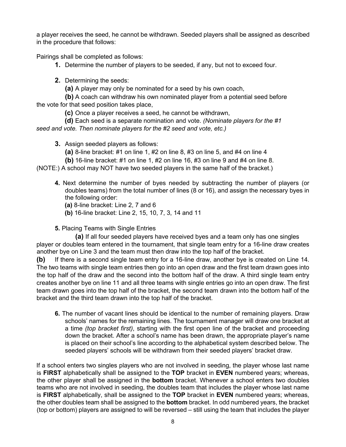a player receives the seed, he cannot be withdrawn. Seeded players shall be assigned as described in the procedure that follows:

Pairings shall be completed as follows:

**1.** Determine the number of players to be seeded, if any, but not to exceed four.

**2.** Determining the seeds:

**(a)** A player may only be nominated for a seed by his own coach,

**(b)** A coach can withdraw his own nominated player from a potential seed before the vote for that seed position takes place,

**(c)** Once a player receives a seed, he cannot be withdrawn,

**(d)** Each seed is a separate nomination and vote. *(Nominate players for the #1 seed and vote. Then nominate players for the #2 seed and vote, etc.)*

**3.** Assign seeded players as follows:

**(a)** 8-line bracket: #1 on line 1, #2 on line 8, #3 on line 5, and #4 on line 4

**(b)** 16-line bracket: #1 on line 1, #2 on line 16, #3 on line 9 and #4 on line 8.

(NOTE:) A school may NOT have two seeded players in the same half of the bracket.)

- **4.** Next determine the number of byes needed by subtracting the number of players (or doubles teams) from the total number of lines (8 or 16), and assign the necessary byes in the following order:
	- **(a)** 8-line bracket: Line 2, 7 and 6
	- **(b)** 16-line bracket: Line 2, 15, 10, 7, 3, 14 and 11
- **5.** Placing Teams with Single Entries

**(a)** If all four seeded players have received byes and a team only has one singles player or doubles team entered in the tournament, that single team entry for a 16-line draw creates another bye on Line 3 and the team must then draw into the top half of the bracket.

**(b)** If there is a second single team entry for a 16-line draw, another bye is created on Line 14. The two teams with single team entries then go into an open draw and the first team drawn goes into the top half of the draw and the second into the bottom half of the draw. A third single team entry creates another bye on line 11 and all three teams with single entries go into an open draw. The first team drawn goes into the top half of the bracket, the second team drawn into the bottom half of the bracket and the third team drawn into the top half of the bracket.

**6.** The number of vacant lines should be identical to the number of remaining players. Draw schools' names for the remaining lines. The tournament manager will draw one bracket at a time *(top bracket first)*, starting with the first open line of the bracket and proceeding down the bracket. After a school's name has been drawn, the appropriate player's name is placed on their school's line according to the alphabetical system described below. The seeded players' schools will be withdrawn from their seeded players' bracket draw.

If a school enters two singles players who are not involved in seeding, the player whose last name is **FIRST** alphabetically shall be assigned to the **TOP** bracket in **EVEN** numbered years; whereas, the other player shall be assigned in the **bottom** bracket. Whenever a school enters two doubles teams who are not involved in seeding, the doubles team that includes the player whose last name is **FIRST** alphabetically, shall be assigned to the **TOP** bracket in **EVEN** numbered years; whereas, the other doubles team shall be assigned to the **bottom** bracket. In odd numbered years, the bracket (top or bottom) players are assigned to will be reversed – still using the team that includes the player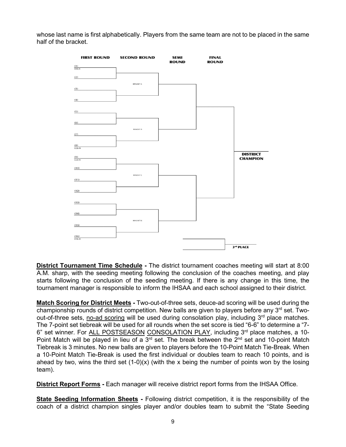whose last name is first alphabetically. Players from the same team are not to be placed in the same half of the bracket.



**District Tournament Time Schedule -** The district tournament coaches meeting will start at 8:00 A.M. sharp, with the seeding meeting following the conclusion of the coaches meeting, and play starts following the conclusion of the seeding meeting. If there is any change in this time, the tournament manager is responsible to inform the IHSAA and each school assigned to their district.

**Match Scoring for District Meets -** Two-out-of-three sets, deuce-ad scoring will be used during the championship rounds of district competition. New balls are given to players before any  $3<sup>rd</sup>$  set. Twoout-of-three sets, no-ad scoring will be used during consolation play, including 3<sup>rd</sup> place matches. The 7-point set tiebreak will be used for all rounds when the set score is tied "6-6" to determine a "7- 6" set winner. For ALL POSTSEASON CONSOLATION PLAY, including 3rd place matches, a 10-Point Match will be played in lieu of a 3<sup>rd</sup> set. The break between the 2<sup>nd</sup> set and 10-point Match Tiebreak is 3 minutes. No new balls are given to players before the 10-Point Match Tie-Break*.* When a 10-Point Match Tie-Break is used the first individual or doubles team to reach 10 points, and is ahead by two, wins the third set  $(1-0)(x)$  (with the x being the number of points won by the losing team).

**District Report Forms -** Each manager will receive district report forms from the IHSAA Office.

**State Seeding Information Sheets -** Following district competition, it is the responsibility of the coach of a district champion singles player and/or doubles team to submit the "State Seeding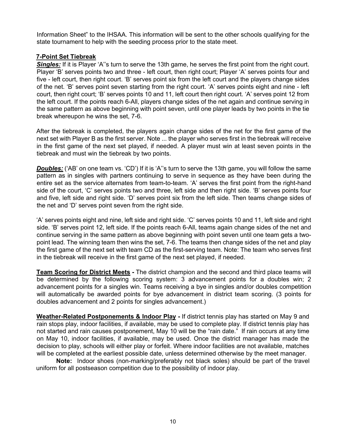Information Sheet" to the IHSAA. This information will be sent to the other schools qualifying for the state tournament to help with the seeding process prior to the state meet.

#### **7-Point Set Tiebreak**

**Singles:** If it is Player 'A"s turn to serve the 13th game, he serves the first point from the right court. Player 'B' serves points two and three - left court, then right court; Player 'A' serves points four and five - left court, then right court. 'B' serves point six from the left court and the players change sides of the net. 'B' serves point seven starting from the right court. 'A' serves points eight and nine - left court, then right court; 'B' serves points 10 and 11, left court then right court. 'A' serves point 12 from the left court. If the points reach 6-All, players change sides of the net again and continue serving in the same pattern as above beginning with point seven, until one player leads by two points in the tie break whereupon he wins the set, 7-6.

After the tiebreak is completed, the players again change sides of the net for the first game of the next set with Player B as the first server. Note ... the player who serves first in the tiebreak will receive in the first game of the next set played, if needed. A player must win at least seven points in the tiebreak and must win the tiebreak by two points.

**Doubles:** ('AB' on one team vs. 'CD') If it is 'A''s turn to serve the 13th game, you will follow the same pattern as in singles with partners continuing to serve in sequence as they have been during the entire set as the service alternates from team-to-team. 'A' serves the first point from the right-hand side of the court, 'C' serves points two and three, left side and then right side. 'B' serves points four and five, left side and right side. 'D' serves point six from the left side. Then teams change sides of the net and 'D' serves point seven from the right side.

'A' serves points eight and nine, left side and right side. 'C' serves points 10 and 11, left side and right side. 'B' serves point 12, left side. If the points reach 6-All, teams again change sides of the net and continue serving in the same pattern as above beginning with point seven until one team gets a twopoint lead. The winning team then wins the set, 7-6. The teams then change sides of the net and play the first game of the next set with team CD as the first-serving team. Note: The team who serves first in the tiebreak will receive in the first game of the next set played, if needed.

**Team Scoring for District Meets -** The district champion and the second and third place teams will be determined by the following scoring system: 3 advancement points for a doubles win; 2 advancement points for a singles win. Teams receiving a bye in singles and/or doubles competition will automatically be awarded points for bye advancement in district team scoring. (3 points for doubles advancement and 2 points for singles advancement.)

**Weather-Related Postponements & Indoor Play -** If district tennis play has started on May 9 and rain stops play, indoor facilities, if available, may be used to complete play. If district tennis play has not started and rain causes postponement, May 10 will be the "rain date." If rain occurs at any time on May 10, indoor facilities, if available, may be used. Once the district manager has made the decision to play, schools will either play or forfeit. Where indoor facilities are not available, matches will be completed at the earliest possible date, unless determined otherwise by the meet manager.

**Note:** Indoor shoes (non-marking/preferably not black soles) should be part of the travel uniform for all postseason competition due to the possibility of indoor play.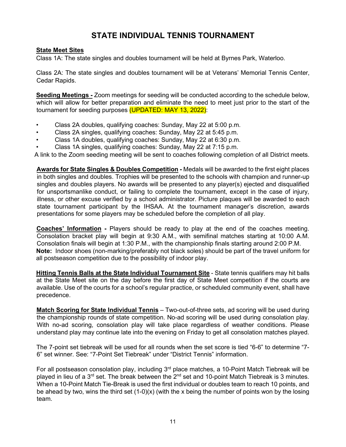## **STATE INDIVIDUAL TENNIS TOURNAMENT**

#### **State Meet Sites**

Class 1A: The state singles and doubles tournament will be held at Byrnes Park, Waterloo.

Class 2A: The state singles and doubles tournament will be at Veterans' Memorial Tennis Center, Cedar Rapids.

**Seeding Meetings -** Zoom meetings for seeding will be conducted according to the schedule below, which will allow for better preparation and eliminate the need to meet just prior to the start of the tournament for seeding purposes (UPDATED: MAY 13, 2022):

- Class 2A doubles, qualifying coaches: Sunday, May 22 at 5:00 p.m.
- Class 2A singles, qualifying coaches: Sunday, May 22 at 5:45 p.m.
- Class 1A doubles, qualifying coaches: Sunday, May 22 at 6:30 p.m.
- Class 1A singles, qualifying coaches: Sunday, May 22 at 7:15 p.m.

A link to the Zoom seeding meeting will be sent to coaches following completion of all District meets.

**Awards for State Singles & Doubles Competition -** Medals will be awarded to the first eight places in both singles and doubles. Trophies will be presented to the schools with champion and runner-up singles and doubles players. No awards will be presented to any player(s) ejected and disqualified for unsportsmanlike conduct, or failing to complete the tournament, except in the case of injury, illness, or other excuse verified by a school administrator. Picture plaques will be awarded to each state tournament participant by the IHSAA. At the tournament manager's discretion, awards presentations for some players may be scheduled before the completion of all play.

**Coaches' Information -** Players should be ready to play at the end of the coaches meeting. Consolation bracket play will begin at 9:30 A.M., with semifinal matches starting at 10:00 A.M. Consolation finals will begin at 1:30 P.M., with the championship finals starting around 2:00 P.M. **Note:** Indoor shoes (non-marking/preferably not black soles) should be part of the travel uniform for all postseason competition due to the possibility of indoor play.

**Hitting Tennis Balls at the State Individual Tournament Site** - State tennis qualifiers may hit balls at the State Meet site on the day before the first day of State Meet competition if the courts are available. Use of the courts for a school's regular practice, or scheduled community event, shall have precedence.

**Match Scoring for State Individual Tennis** – Two-out-of-three sets, ad scoring will be used during the championship rounds of state competition. No-ad scoring will be used during consolation play. With no-ad scoring, consolation play will take place regardless of weather conditions. Please understand play may continue late into the evening on Friday to get all consolation matches played.

The 7-point set tiebreak will be used for all rounds when the set score is tied "6-6" to determine "7- 6" set winner. See: "7-Point Set Tiebreak" under "District Tennis" information.

For all postseason consolation play, including 3<sup>rd</sup> place matches, a 10-Point Match Tiebreak will be played in lieu of a 3<sup>rd</sup> set. The break between the 2<sup>nd</sup> set and 10-point Match Tiebreak is 3 minutes. When a 10-Point Match Tie-Break is used the first individual or doubles team to reach 10 points, and be ahead by two, wins the third set  $(1-0)(x)$  (with the x being the number of points won by the losing team.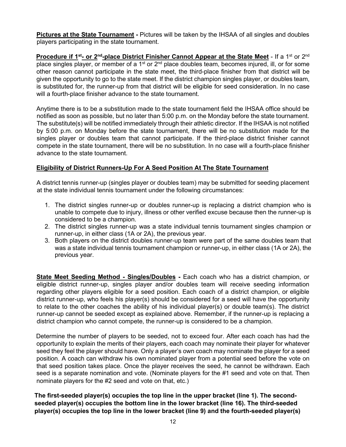**Pictures at the State Tournament -** Pictures will be taken by the IHSAA of all singles and doubles players participating in the state tournament.

**Procedure if 1<sup>st</sup>- or 2<sup>nd</sup>-place District Finisher Cannot Appear at the State Meet - If a 1<sup>st</sup> or 2<sup>nd</sup>** place singles player, or member of a 1<sup>st</sup> or  $2<sup>nd</sup>$  place doubles team, becomes injured, ill, or for some other reason cannot participate in the state meet, the third-place finisher from that district will be given the opportunity to go to the state meet. If the district champion singles player, or doubles team, is substituted for, the runner-up from that district will be eligible for seed consideration. In no case will a fourth-place finisher advance to the state tournament.

Anytime there is to be a substitution made to the state tournament field the IHSAA office should be notified as soon as possible, but no later than 5:00 p.m. on the Monday before the state tournament. The substitute(s) will be notified immediately through their athletic director. If the IHSAA is not notified by 5:00 p.m. on Monday before the state tournament, there will be no substitution made for the singles player or doubles team that cannot participate. If the third-place district finisher cannot compete in the state tournament, there will be no substitution. In no case will a fourth-place finisher advance to the state tournament.

#### **Eligibility of District Runners-Up For A Seed Position At The State Tournament**

A district tennis runner-up (singles player or doubles team) may be submitted for seeding placement at the state individual tennis tournament under the following circumstances:

- 1. The district singles runner-up or doubles runner-up is replacing a district champion who is unable to compete due to injury, illness or other verified excuse because then the runner-up is considered to be a champion.
- 2. The district singles runner-up was a state individual tennis tournament singles champion or runner-up, in either class (1A or 2A), the previous year.
- 3. Both players on the district doubles runner-up team were part of the same doubles team that was a state individual tennis tournament champion or runner-up, in either class (1A or 2A), the previous year.

**State Meet Seeding Method - Singles/Doubles -** Each coach who has a district champion, or eligible district runner-up, singles player and/or doubles team will receive seeding information regarding other players eligible for a seed position. Each coach of a district champion, or eligible district runner-up, who feels his player(s) should be considered for a seed will have the opportunity to relate to the other coaches the ability of his individual player(s) or double team(s). The district runner-up cannot be seeded except as explained above. Remember, if the runner-up is replacing a district champion who cannot compete, the runner-up is considered to be a champion.

Determine the number of players to be seeded, not to exceed four. After each coach has had the opportunity to explain the merits of their players, each coach may nominate their player for whatever seed they feel the player should have. Only a player's own coach may nominate the player for a seed position. A coach can withdraw his own nominated player from a potential seed before the vote on that seed position takes place. Once the player receives the seed, he cannot be withdrawn. Each seed is a separate nomination and vote. (Nominate players for the #1 seed and vote on that. Then nominate players for the #2 seed and vote on that, etc.)

**The first-seeded player(s) occupies the top line in the upper bracket (line 1). The secondseeded player(s) occupies the bottom line in the lower bracket (line 16). The third-seeded player(s) occupies the top line in the lower bracket (line 9) and the fourth-seeded player(s)**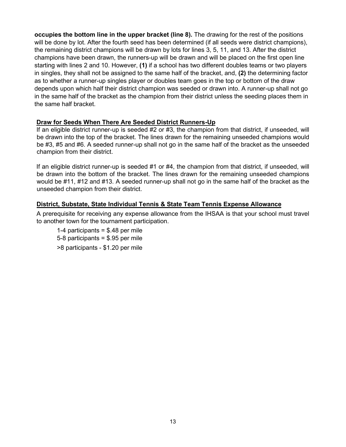**occupies the bottom line in the upper bracket (line 8).** The drawing for the rest of the positions will be done by lot. After the fourth seed has been determined (if all seeds were district champions), the remaining district champions will be drawn by lots for lines 3, 5, 11, and 13. After the district champions have been drawn, the runners-up will be drawn and will be placed on the first open line starting with lines 2 and 10. However, **(1)** if a school has two different doubles teams or two players in singles, they shall not be assigned to the same half of the bracket, and, **(2)** the determining factor as to whether a runner-up singles player or doubles team goes in the top or bottom of the draw depends upon which half their district champion was seeded or drawn into. A runner-up shall not go in the same half of the bracket as the champion from their district unless the seeding places them in the same half bracket.

#### **Draw for Seeds When There Are Seeded District Runners-Up**

If an eligible district runner-up is seeded #2 or #3, the champion from that district, if unseeded, will be drawn into the top of the bracket. The lines drawn for the remaining unseeded champions would be #3, #5 and #6. A seeded runner-up shall not go in the same half of the bracket as the unseeded champion from their district.

If an eligible district runner-up is seeded #1 or #4, the champion from that district, if unseeded, will be drawn into the bottom of the bracket. The lines drawn for the remaining unseeded champions would be #11, #12 and #13. A seeded runner-up shall not go in the same half of the bracket as the unseeded champion from their district.

#### **District, Substate, State Individual Tennis & State Team Tennis Expense Allowance**

A prerequisite for receiving any expense allowance from the IHSAA is that your school must travel to another town for the tournament participation.

1-4 participants = \$.48 per mile 5-8 participants = \$.95 per mile >8 participants - \$1.20 per mile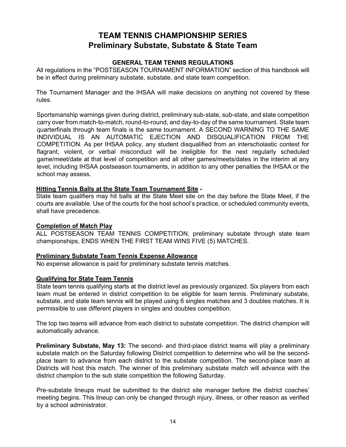## **TEAM TENNIS CHAMPIONSHIP SERIES Preliminary Substate, Substate & State Team**

#### **GENERAL TEAM TENNIS REGULATIONS**

All regulations in the "POSTSEASON TOURNAMENT INFORMATION" section of this handbook will be in effect during preliminary substate, substate, and state team competition.

The Tournament Manager and the IHSAA will make decisions on anything not covered by these rules.

Sportsmanship warnings given during district, preliminary sub-state, sub-state, and state competition carry over from match-to-match, round-to-round, and day-to-day of the same tournament. State team quarterfinals through team finals is the same tournament. A SECOND WARNING TO THE SAME INDIVIDUAL IS AN AUTOMATIC EJECTION AND DISQUALIFICATION FROM THE COMPETITION. As per IHSAA policy, any student disqualified from an interscholastic contest for flagrant, violent, or verbal misconduct will be ineligible for the next regularly scheduled game/meet/date at that level of competition and all other games/meets/dates in the interim at any level, including IHSAA postseason tournaments, in addition to any other penalties the IHSAA or the school may assess.

#### **Hitting Tennis Balls at the State Team Tournament Site -**

State team qualifiers may hit balls at the State Meet site on the day before the State Meet, if the courts are available. Use of the courts for the host school's practice, or scheduled community events, shall have precedence.

#### **Completion of Match Play**

ALL POSTSEASON TEAM TENNIS COMPETITION, preliminary substate through state team championships, ENDS WHEN THE FIRST TEAM WINS FIVE (5) MATCHES.

#### **Preliminary Substate Team Tennis Expense Allowance**

No expense allowance is paid for preliminary substate tennis matches.

#### **Qualifying for State Team Tennis**

State team tennis qualifying starts at the district level as previously organized. Six players from each team must be entered in district competition to be eligible for team tennis. Preliminary substate, substate, and state team tennis will be played using 6 singles matches and 3 doubles matches. It is permissible to use different players in singles and doubles competition.

The top two teams will advance from each district to substate competition. The district champion will automatically advance.

**Preliminary Substate, May 13:** The second- and third-place district teams will play a preliminary substate match on the Saturday following District competition to determine who will be the secondplace team to advance from each district to the substate competition. The second-place team at Districts will host this match. The winner of this preliminary substate match will advance with the district champion to the sub state competition the following Saturday.

Pre-substate lineups must be submitted to the district site manager before the district coaches' meeting begins. This lineup can only be changed through injury, illness, or other reason as verified by a school administrator.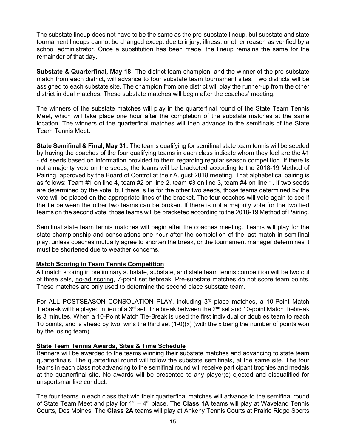The substate lineup does not have to be the same as the pre-substate lineup, but substate and state tournament lineups cannot be changed except due to injury, illness, or other reason as verified by a school administrator. Once a substitution has been made, the lineup remains the same for the remainder of that day.

**Substate & Quarterfinal, May 18:** The district team champion, and the winner of the pre-substate match from each district, will advance to four substate team tournament sites. Two districts will be assigned to each substate site. The champion from one district will play the runner-up from the other district in dual matches. These substate matches will begin after the coaches' meeting.

The winners of the substate matches will play in the quarterfinal round of the State Team Tennis Meet, which will take place one hour after the completion of the substate matches at the same location. The winners of the quarterfinal matches will then advance to the semifinals of the State Team Tennis Meet.

**State Semifinal & Final, May 31:** The teams qualifying for semifinal state team tennis will be seeded by having the coaches of the four qualifying teams in each class indicate whom they feel are the #1 - #4 seeds based on information provided to them regarding regular season competition. If there is not a majority vote on the seeds, the teams will be bracketed according to the 2018-19 Method of Pairing, approved by the Board of Control at their August 2018 meeting. That alphabetical pairing is as follows: Team #1 on line 4, team #2 on line 2, team #3 on line 3, team #4 on line 1. If two seeds are determined by the vote, but there is tie for the other two seeds, those teams determined by the vote will be placed on the appropriate lines of the bracket. The four coaches will vote again to see if the tie between the other two teams can be broken. If there is not a majority vote for the two tied teams on the second vote, those teams will be bracketed according to the 2018-19 Method of Pairing.

Semifinal state team tennis matches will begin after the coaches meeting. Teams will play for the state championship and consolations one hour after the completion of the last match in semifinal play, unless coaches mutually agree to shorten the break, or the tournament manager determines it must be shortened due to weather concerns.

#### **Match Scoring in Team Tennis Competition**

All match scoring in preliminary substate, substate, and state team tennis competition will be two out of three sets, no-ad scoring, 7-point set tiebreak. Pre-substate matches do not score team points. These matches are only used to determine the second place substate team.

For ALL POSTSEASON CONSOLATION PLAY, including 3<sup>rd</sup> place matches, a 10-Point Match Tiebreak will be played in lieu of a 3<sup>rd</sup> set. The break between the 2<sup>nd</sup> set and 10-point Match Tiebreak is 3 minutes. When a 10-Point Match Tie-Break is used the first individual or doubles team to reach 10 points, and is ahead by two, wins the third set (1-0)(x) (with the x being the number of points won by the losing team).

#### **State Team Tennis Awards, Sites & Time Schedule**

Banners will be awarded to the teams winning their substate matches and advancing to state team quarterfinals. The quarterfinal round will follow the substate semifinals, at the same site. The four teams in each class not advancing to the semifinal round will receive participant trophies and medals at the quarterfinal site. No awards will be presented to any player(s) ejected and disqualified for unsportsmanlike conduct.

The four teams in each class that win their quarterfinal matches will advance to the semifinal round of State Team Meet and play for  $1<sup>st</sup> - 4<sup>th</sup>$  place. The **Class 1A** teams will play at Waveland Tennis Courts, Des Moines. The **Class 2A** teams will play at Ankeny Tennis Courts at Prairie Ridge Sports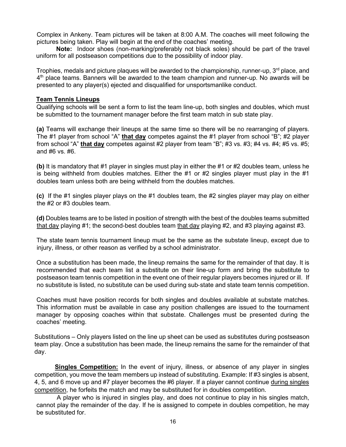Complex in Ankeny. Team pictures will be taken at 8:00 A.M. The coaches will meet following the pictures being taken. Play will begin at the end of the coaches' meeting.

**Note:** Indoor shoes (non-marking/preferably not black soles) should be part of the travel uniform for all postseason competitions due to the possibility of indoor play.

Trophies, medals and picture plaques will be awarded to the championship, runner-up,  $3<sup>rd</sup>$  place, and  $4<sup>th</sup>$  place teams. Banners will be awarded to the team champion and runner-up. No awards will be presented to any player(s) ejected and disqualified for unsportsmanlike conduct.

#### **Team Tennis Lineups**

Qualifying schools will be sent a form to list the team line-up, both singles and doubles, which must be submitted to the tournament manager before the first team match in sub state play.

**(a)** Teams will exchange their lineups at the same time so there will be no rearranging of players. The #1 player from school "A" **that day** competes against the #1 player from school "B"; #2 player from school "A" **that day** competes against #2 player from team "B"; #3 vs. #3; #4 vs. #4; #5 vs. #5; and #6 vs. #6.

**(b)** It is mandatory that #1 player in singles must play in either the #1 or #2 doubles team, unless he is being withheld from doubles matches. Either the  $#1$  or  $#2$  singles player must play in the  $#1$ doubles team unless both are being withheld from the doubles matches.

**(c)** If the #1 singles player plays on the #1 doubles team, the #2 singles player may play on either the #2 or #3 doubles team.

**(d)** Doubles teams are to be listed in position of strength with the best of the doubles teams submitted that day playing #1; the second-best doubles team that day playing #2, and #3 playing against #3.

The state team tennis tournament lineup must be the same as the substate lineup, except due to injury, illness, or other reason as verified by a school administrator.

Once a substitution has been made, the lineup remains the same for the remainder of that day. It is recommended that each team list a substitute on their line-up form and bring the substitute to postseason team tennis competition in the event one of their regular players becomes injured or ill. If no substitute is listed, no substitute can be used during sub‐state and state team tennis competition.

Coaches must have position records for both singles and doubles available at substate matches. This information must be available in case any position challenges are issued to the tournament manager by opposing coaches within that substate. Challenges must be presented during the coaches' meeting.

Substitutions – Only players listed on the line up sheet can be used as substitutes during postseason team play. Once a substitution has been made, the lineup remains the same for the remainder of that day.

**Singles Competition:** In the event of injury, illness, or absence of any player in singles competition, you move the team members up instead of substituting. Example: If #3 singles is absent, 4, 5, and 6 move up and #7 player becomes the #6 player. If a player cannot continue during singles competition, he forfeits the match and may be substituted for in doubles competition.

A player who is injured in singles play, and does not continue to play in his singles match, cannot play the remainder of the day. If he is assigned to compete in doubles competition, he may be substituted for.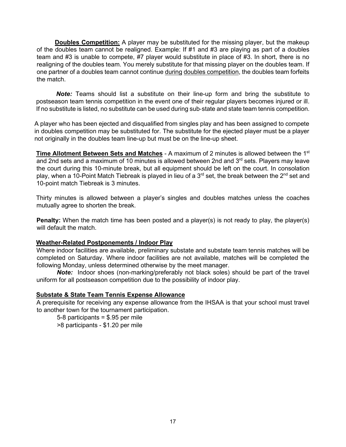**Doubles Competition:** A player may be substituted for the missing player, but the makeup of the doubles team cannot be realigned. Example: If #1 and #3 are playing as part of a doubles team and #3 is unable to compete, #7 player would substitute in place of #3. In short, there is no realigning of the doubles team. You merely substitute for that missing player on the doubles team. If one partner of a doubles team cannot continue during doubles competition, the doubles team forfeits the match.

*Note:* Teams should list a substitute on their line-up form and bring the substitute to postseason team tennis competition in the event one of their regular players becomes injured or ill. If no substitute is listed, no substitute can be used during sub‐state and state team tennis competition.

A player who has been ejected and disqualified from singles play and has been assigned to compete in doubles competition may be substituted for. The substitute for the ejected player must be a player not originally in the doubles team line-up but must be on the line-up sheet.

**Time Allotment Between Sets and Matches** - A maximum of 2 minutes is allowed between the 1st and 2nd sets and a maximum of 10 minutes is allowed between 2nd and  $3<sup>rd</sup>$  sets. Players may leave the court during this 10-minute break, but all equipment should be left on the court. In consolation play, when a 10-Point Match Tiebreak is played in lieu of a 3<sup>rd</sup> set, the break between the 2<sup>nd</sup> set and 10-point match Tiebreak is 3 minutes.

Thirty minutes is allowed between a player's singles and doubles matches unless the coaches mutually agree to shorten the break.

**Penalty:** When the match time has been posted and a player(s) is not ready to play, the player(s) will default the match.

#### **Weather-Related Postponements / Indoor Play**

Where indoor facilities are available, preliminary substate and substate team tennis matches will be completed on Saturday. Where indoor facilities are not available, matches will be completed the following Monday, unless determined otherwise by the meet manager.

*Note:* Indoor shoes (non-marking/preferably not black soles) should be part of the travel uniform for all postseason competition due to the possibility of indoor play.

#### **Substate & State Team Tennis Expense Allowance**

A prerequisite for receiving any expense allowance from the IHSAA is that your school must travel to another town for the tournament participation.

5-8 participants = \$.95 per mile

>8 participants - \$1.20 per mile